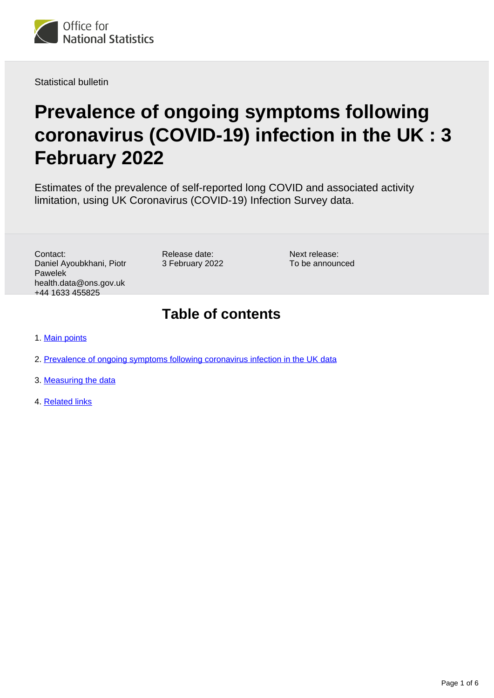

Statistical bulletin

# **Prevalence of ongoing symptoms following coronavirus (COVID-19) infection in the UK : 3 February 2022**

Estimates of the prevalence of self-reported long COVID and associated activity limitation, using UK Coronavirus (COVID-19) Infection Survey data.

Contact: Daniel Ayoubkhani, Piotr Pawelek health.data@ons.gov.uk +44 1633 455825

Release date: 3 February 2022 Next release: To be announced

## **Table of contents**

- 1. [Main points](#page-1-0)
- 2. [Prevalence of ongoing symptoms following coronavirus infection in the UK data](#page-4-0)
- 3. [Measuring the data](#page-4-1)
- 4. [Related links](#page-5-0)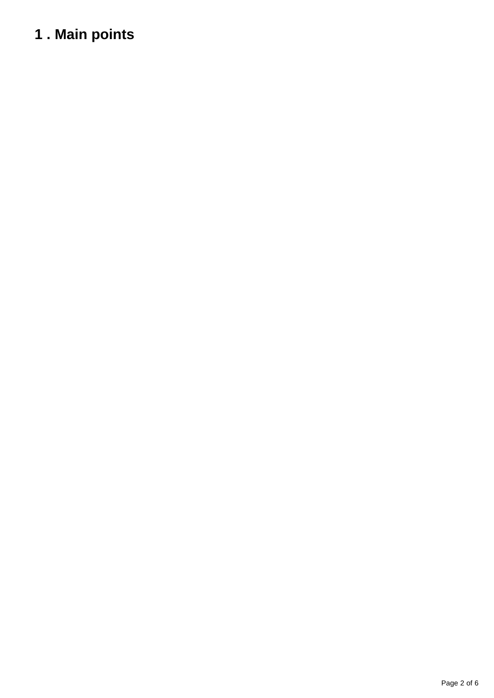# <span id="page-1-0"></span>**1 . Main points**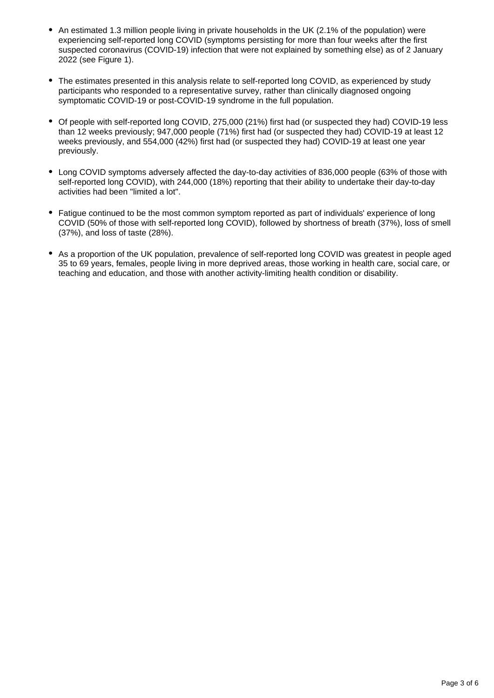- An estimated 1.3 million people living in private households in the UK (2.1% of the population) were experiencing self-reported long COVID (symptoms persisting for more than four weeks after the first suspected coronavirus (COVID-19) infection that were not explained by something else) as of 2 January 2022 (see Figure 1).
- The estimates presented in this analysis relate to self-reported long COVID, as experienced by study participants who responded to a representative survey, rather than clinically diagnosed ongoing symptomatic COVID-19 or post-COVID-19 syndrome in the full population.
- Of people with self-reported long COVID, 275,000 (21%) first had (or suspected they had) COVID-19 less than 12 weeks previously; 947,000 people (71%) first had (or suspected they had) COVID-19 at least 12 weeks previously, and 554,000 (42%) first had (or suspected they had) COVID-19 at least one year previously.
- Long COVID symptoms adversely affected the day-to-day activities of 836,000 people (63% of those with self-reported long COVID), with 244,000 (18%) reporting that their ability to undertake their day-to-day activities had been "limited a lot".
- Fatigue continued to be the most common symptom reported as part of individuals' experience of long COVID (50% of those with self-reported long COVID), followed by shortness of breath (37%), loss of smell (37%), and loss of taste (28%).
- As a proportion of the UK population, prevalence of self-reported long COVID was greatest in people aged 35 to 69 years, females, people living in more deprived areas, those working in health care, social care, or teaching and education, and those with another activity-limiting health condition or disability.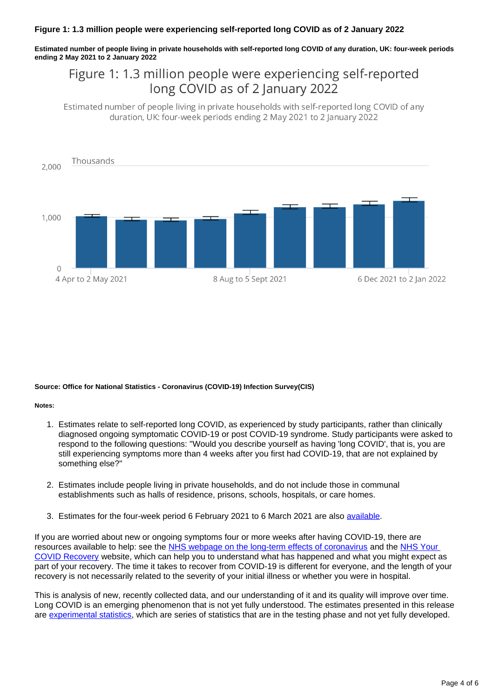### **Figure 1: 1.3 million people were experiencing self-reported long COVID as of 2 January 2022**

**Estimated number of people living in private households with self-reported long COVID of any duration, UK: four-week periods ending 2 May 2021 to 2 January 2022**

### Figure 1: 1.3 million people were experiencing self-reported long COVID as of 2 January 2022

Estimated number of people living in private households with self-reported long COVID of any duration, UK: four-week periods ending 2 May 2021 to 2 January 2022



### **Source: Office for National Statistics - Coronavirus (COVID-19) Infection Survey(CIS)**

#### **Notes:**

- 1. Estimates relate to self-reported long COVID, as experienced by study participants, rather than clinically diagnosed ongoing symptomatic COVID-19 or post COVID-19 syndrome. Study participants were asked to respond to the following questions: "Would you describe yourself as having 'long COVID', that is, you are still experiencing symptoms more than 4 weeks after you first had COVID-19, that are not explained by something else?"
- 2. Estimates include people living in private households, and do not include those in communal establishments such as halls of residence, prisons, schools, hospitals, or care homes.
- 3. Estimates for the four-week period 6 February 2021 to 6 March 2021 are also [available.](https://www.ons.gov.uk/peoplepopulationandcommunity/healthandsocialcare/conditionsanddiseases/bulletins/prevalenceofongoingsymptomsfollowingcoronaviruscovid19infectionintheuk/1april2021)

If you are worried about new or ongoing symptoms four or more weeks after having COVID-19, there are resources available to help: see the [NHS webpage on the long-term effects of coronavirus](https://www.nhs.uk/conditions/coronavirus-covid-19/long-term-effects-of-coronavirus-long-covid/) and the NHS Your [COVID Recovery](https://www.yourcovidrecovery.nhs.uk/) website, which can help you to understand what has happened and what you might expect as part of your recovery. The time it takes to recover from COVID-19 is different for everyone, and the length of your recovery is not necessarily related to the severity of your initial illness or whether you were in hospital.

This is analysis of new, recently collected data, and our understanding of it and its quality will improve over time. Long COVID is an emerging phenomenon that is not yet fully understood. The estimates presented in this release are [experimental statistics,](https://www.ons.gov.uk/methodology/methodologytopicsandstatisticalconcepts/guidetoexperimentalstatistics) which are series of statistics that are in the testing phase and not yet fully developed.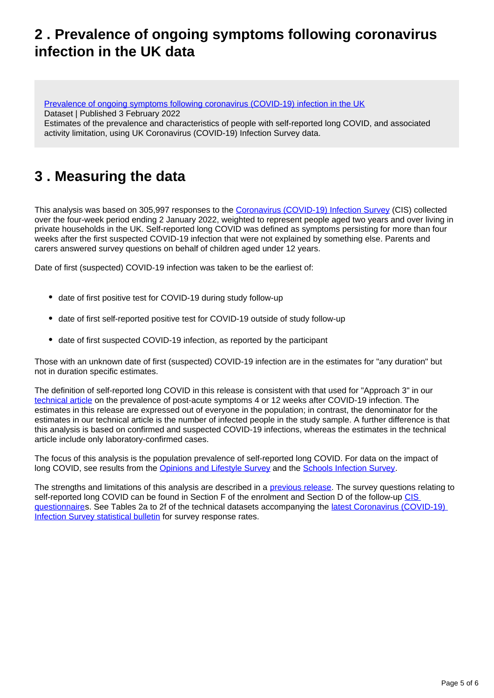## <span id="page-4-0"></span>**2 . Prevalence of ongoing symptoms following coronavirus infection in the UK data**

[Prevalence of ongoing symptoms following coronavirus \(COVID-19\) infection in the UK](https://www.ons.gov.uk/peoplepopulationandcommunity/healthandsocialcare/conditionsanddiseases/datasets/alldatarelatingtoprevalenceofongoingsymptomsfollowingcoronaviruscovid19infectionintheuk) Dataset | Published 3 February 2022

Estimates of the prevalence and characteristics of people with self-reported long COVID, and associated activity limitation, using UK Coronavirus (COVID-19) Infection Survey data.

# <span id="page-4-1"></span>**3 . Measuring the data**

This analysis was based on 305,997 responses to the [Coronavirus \(COVID-19\) Infection Survey](https://www.ons.gov.uk/peoplepopulationandcommunity/healthandsocialcare/conditionsanddiseases/methodologies/covid19infectionsurveypilotmethodsandfurtherinformation) (CIS) collected over the four-week period ending 2 January 2022, weighted to represent people aged two years and over living in private households in the UK. Self-reported long COVID was defined as symptoms persisting for more than four weeks after the first suspected COVID-19 infection that were not explained by something else. Parents and carers answered survey questions on behalf of children aged under 12 years.

Date of first (suspected) COVID-19 infection was taken to be the earliest of:

- date of first positive test for COVID-19 during study follow-up
- date of first self-reported positive test for COVID-19 outside of study follow-up
- date of first suspected COVID-19 infection, as reported by the participant

Those with an unknown date of first (suspected) COVID-19 infection are in the estimates for "any duration" but not in duration specific estimates.

The definition of self-reported long COVID in this release is consistent with that used for "Approach 3" in our [technical article](https://www.ons.gov.uk/peoplepopulationandcommunity/healthandsocialcare/conditionsanddiseases/articles/technicalarticleupdatedestimatesoftheprevalenceofpostacutesymptomsamongpeoplewithcoronaviruscovid19intheuk/26april2020to1august2021) on the prevalence of post-acute symptoms 4 or 12 weeks after COVID-19 infection. The estimates in this release are expressed out of everyone in the population; in contrast, the denominator for the estimates in our technical article is the number of infected people in the study sample. A further difference is that this analysis is based on confirmed and suspected COVID-19 infections, whereas the estimates in the technical article include only laboratory-confirmed cases.

The focus of this analysis is the population prevalence of self-reported long COVID. For data on the impact of long COVID, see results from the [Opinions and Lifestyle Survey](https://www.ons.gov.uk/peoplepopulationandcommunity/healthandsocialcare/conditionsanddiseases/articles/coronavirusandthesocialimpactsoflongcovidonpeopleslivesingreatbritain/7aprilto13june2021) and the [Schools Infection Survey](https://www.ons.gov.uk/peoplepopulationandcommunity/healthandsocialcare/conditionsanddiseases/bulletins/covid19schoolsinfectionsurveyenglandprevalenceofongoingsymptomsfollowingcoronaviruscovid19infectioninschoolpupilsandstaff/july2021).

The strengths and limitations of this analysis are described in a **previous release**. The survey questions relating to self-reported long COVID can be found in Section F of the enrolment and Section D of the follow-up CIS [questionnaire](https://www.ndm.ox.ac.uk/covid-19/covid-19-infection-survey/case-record-forms)s. See Tables 2a to 2f of the technical datasets accompanying the [latest Coronavirus \(COVID-19\)](https://www.ons.gov.uk/peoplepopulationandcommunity/healthandsocialcare/conditionsanddiseases/bulletins/coronaviruscovid19infectionsurveypilot/latest)  [Infection Survey statistical bulletin](https://www.ons.gov.uk/peoplepopulationandcommunity/healthandsocialcare/conditionsanddiseases/bulletins/coronaviruscovid19infectionsurveypilot/latest) for survey response rates.